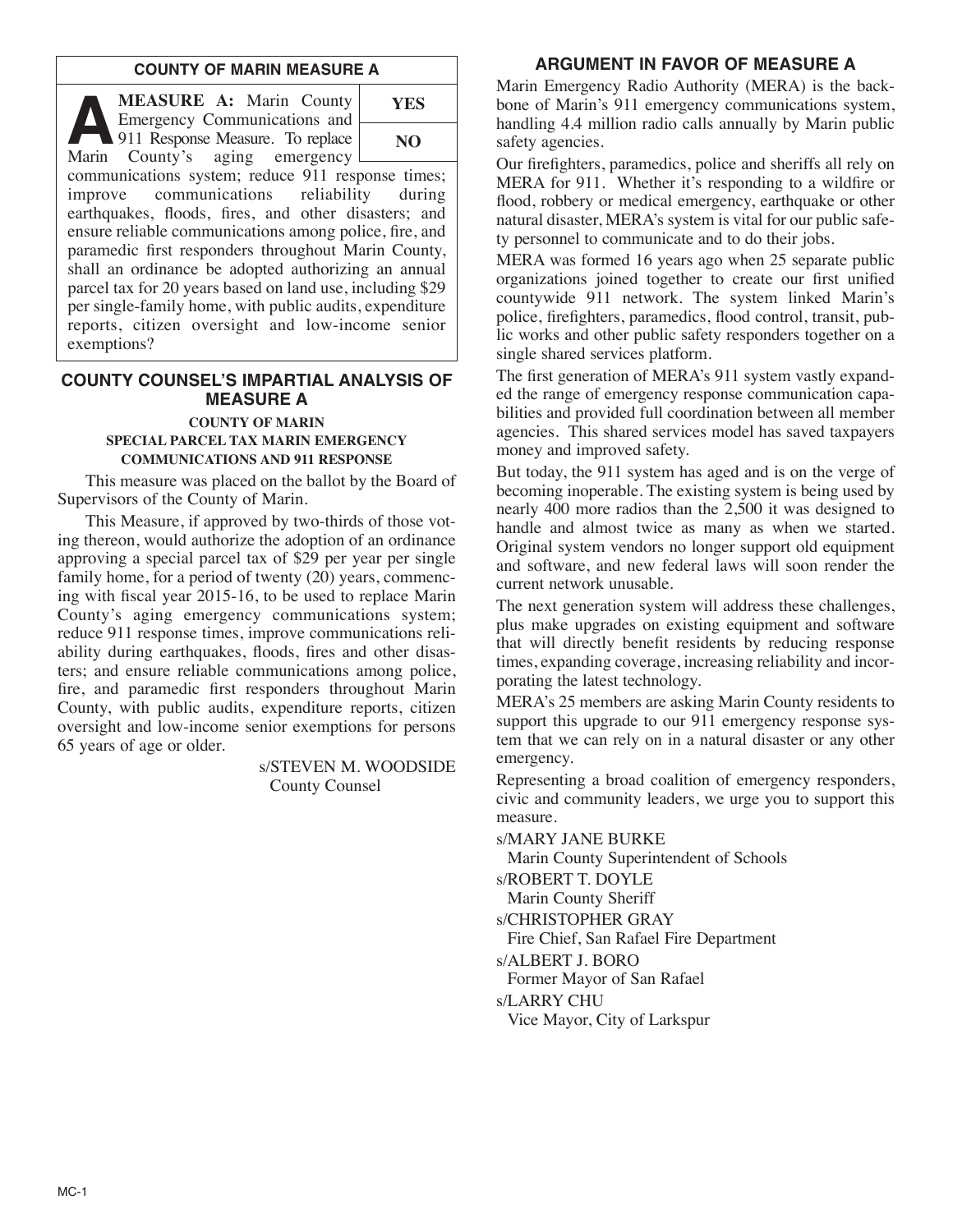#### **COUNTY OF MARIN MEASURE A**

**A MEASURE A:** Marin County<br>
911 Response Measure. To replace<br>
Marin County's aging emergency Emergency Communications and Marin County's aging emergency communications system; reduce 911 response times; improve communications reliability during earthquakes, floods, fires, and other disasters; and ensure reliable communications among police, fire, and **YES NO**

paramedic first responders throughout Marin County, shall an ordinance be adopted authorizing an annual parcel tax for 20 years based on land use, including \$29 per single-family home, with public audits, expenditure reports, citizen oversight and low-income senior exemptions?

# **COUNTY COUNSEL'S IMPARTIAL ANALYSIS OF MEASURE A COUNTY OF MARIN**

#### **SPECIAL PARCEL TAX MARIN EMERGENCY COMMUNICATIONS AND 911 RESPONSE**

This measure was placed on the ballot by the Board of Supervisors of the County of Marin.

This Measure, if approved by two-thirds of those voting thereon, would authorize the adoption of an ordinance approving a special parcel tax of \$29 per year per single family home, for a period of twenty (20) years, commencing with fiscal year 2015-16, to be used to replace Marin County's aging emergency communications system; reduce 911 response times, improve communications reliability during earthquakes, floods, fires and other disasters; and ensure reliable communications among police, fire, and paramedic first responders throughout Marin County, with public audits, expenditure reports, citizen oversight and low-income senior exemptions for persons 65 years of age or older.

> s/STEVEN M. WOODSIDE County Counsel

# **ARGUMENT IN FAVOR OF MEASURE A**

Marin Emergency Radio Authority (MERA) is the backbone of Marin's 911 emergency communications system, handling 4.4 million radio calls annually by Marin public safety agencies.

Our firefighters, paramedics, police and sheriffs all rely on MERA for 911. Whether it's responding to a wildfire or flood, robbery or medical emergency, earthquake or other natural disaster, MERA's system is vital for our public safety personnel to communicate and to do their jobs.

MERA was formed 16 years ago when 25 separate public organizations joined together to create our first unified countywide 911 network. The system linked Marin's police, firefighters, paramedics, flood control, transit, public works and other public safety responders together on a single shared services platform.

The first generation of MERA's 911 system vastly expanded the range of emergency response communication capabilities and provided full coordination between all member agencies. This shared services model has saved taxpayers money and improved safety.

But today, the 911 system has aged and is on the verge of becoming inoperable. The existing system is being used by nearly 400 more radios than the 2,500 it was designed to handle and almost twice as many as when we started. Original system vendors no longer support old equipment and software, and new federal laws will soon render the current network unusable.

The next generation system will address these challenges, plus make upgrades on existing equipment and software that will directly benefit residents by reducing response times, expanding coverage, increasing reliability and incorporating the latest technology.

MERA's 25 members are asking Marin County residents to support this upgrade to our 911 emergency response system that we can rely on in a natural disaster or any other emergency.

Representing a broad coalition of emergency responders, civic and community leaders, we urge you to support this measure.

s/MARY JANE BURKE

Marin County Superintendent of Schools

s/ROBERT T. DOYLE

Marin County Sheriff

s/CHRISTOPHER GRAY

Fire Chief, San Rafael Fire Department

s/ALBERT J. BORO

Former Mayor of San Rafael

s/LARRY CHU

Vice Mayor, City of Larkspur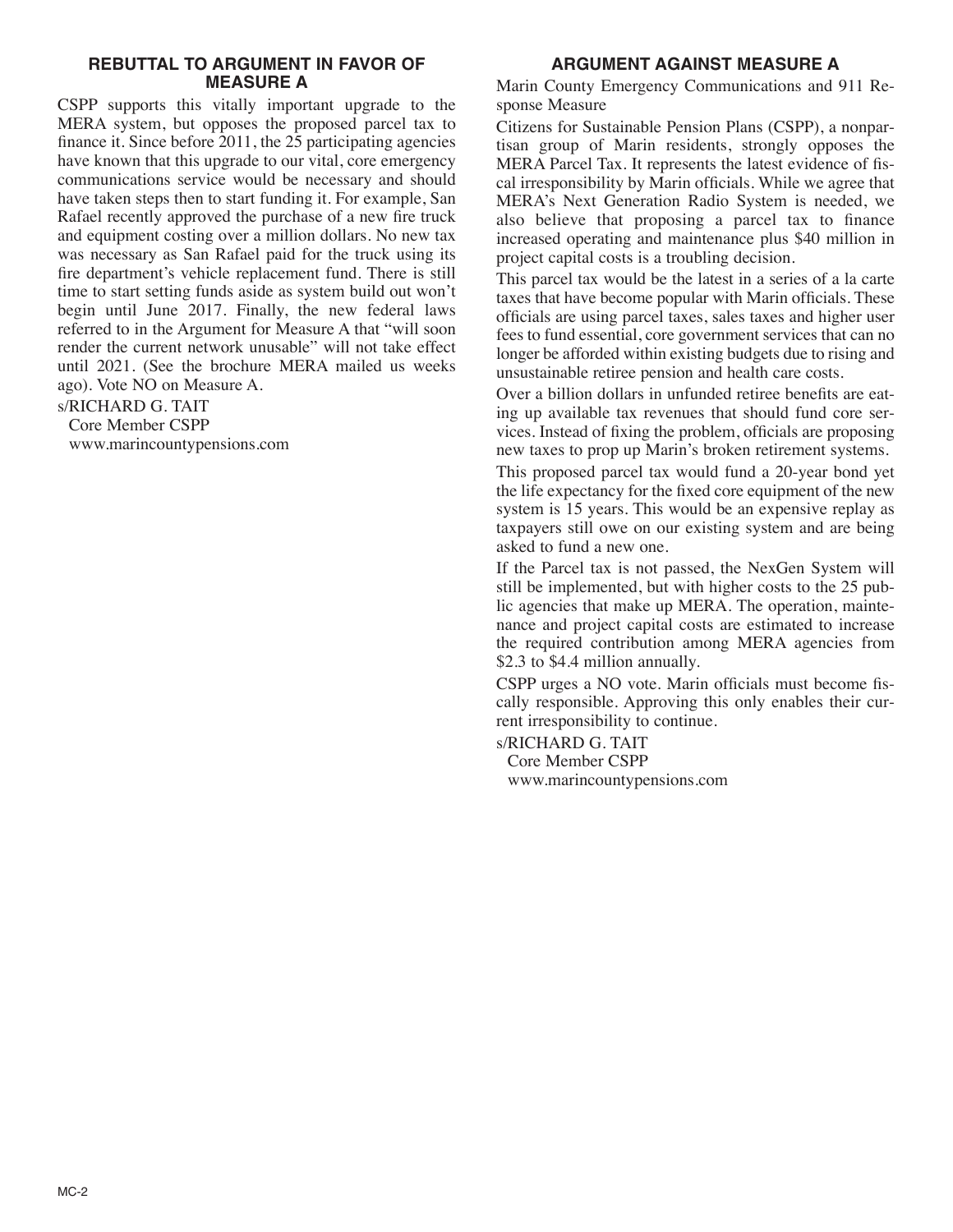# **REBUTTAL TO ARGUMENT IN FAVOR OF MEASURE A**

CSPP supports this vitally important upgrade to the MERA system, but opposes the proposed parcel tax to finance it. Since before 2011, the 25 participating agencies have known that this upgrade to our vital, core emergency communications service would be necessary and should have taken steps then to start funding it. For example, San Rafael recently approved the purchase of a new fire truck and equipment costing over a million dollars. No new tax was necessary as San Rafael paid for the truck using its fire department's vehicle replacement fund. There is still time to start setting funds aside as system build out won't begin until June 2017. Finally, the new federal laws referred to in the Argument for Measure A that "will soon render the current network unusable" will not take effect until 2021. (See the brochure MERA mailed us weeks ago). Vote NO on Measure A.

s/RICHARD G. TAIT

Core Member CSPP www.marincountypensions.com

# **ARGUMENT AGAINST MEASURE A**

Marin County Emergency Communications and 911 Response Measure

Citizens for Sustainable Pension Plans (CSPP), a nonpartisan group of Marin residents, strongly opposes the MERA Parcel Tax. It represents the latest evidence of fiscal irresponsibility by Marin officials. While we agree that MERA's Next Generation Radio System is needed, we also believe that proposing a parcel tax to finance increased operating and maintenance plus \$40 million in project capital costs is a troubling decision.

This parcel tax would be the latest in a series of a la carte taxes that have become popular with Marin officials. These officials are using parcel taxes, sales taxes and higher user fees to fund essential, core government services that can no longer be afforded within existing budgets due to rising and unsustainable retiree pension and health care costs.

Over a billion dollars in unfunded retiree benefits are eating up available tax revenues that should fund core services. Instead of fixing the problem, officials are proposing new taxes to prop up Marin's broken retirement systems.

This proposed parcel tax would fund a 20-year bond yet the life expectancy for the fixed core equipment of the new system is 15 years. This would be an expensive replay as taxpayers still owe on our existing system and are being asked to fund a new one.

If the Parcel tax is not passed, the NexGen System will still be implemented, but with higher costs to the 25 public agencies that make up MERA. The operation, maintenance and project capital costs are estimated to increase the required contribution among MERA agencies from \$2.3 to \$4.4 million annually.

CSPP urges a NO vote. Marin officials must become fiscally responsible. Approving this only enables their current irresponsibility to continue.

s/RICHARD G. TAIT Core Member CSPP www.marincountypensions.com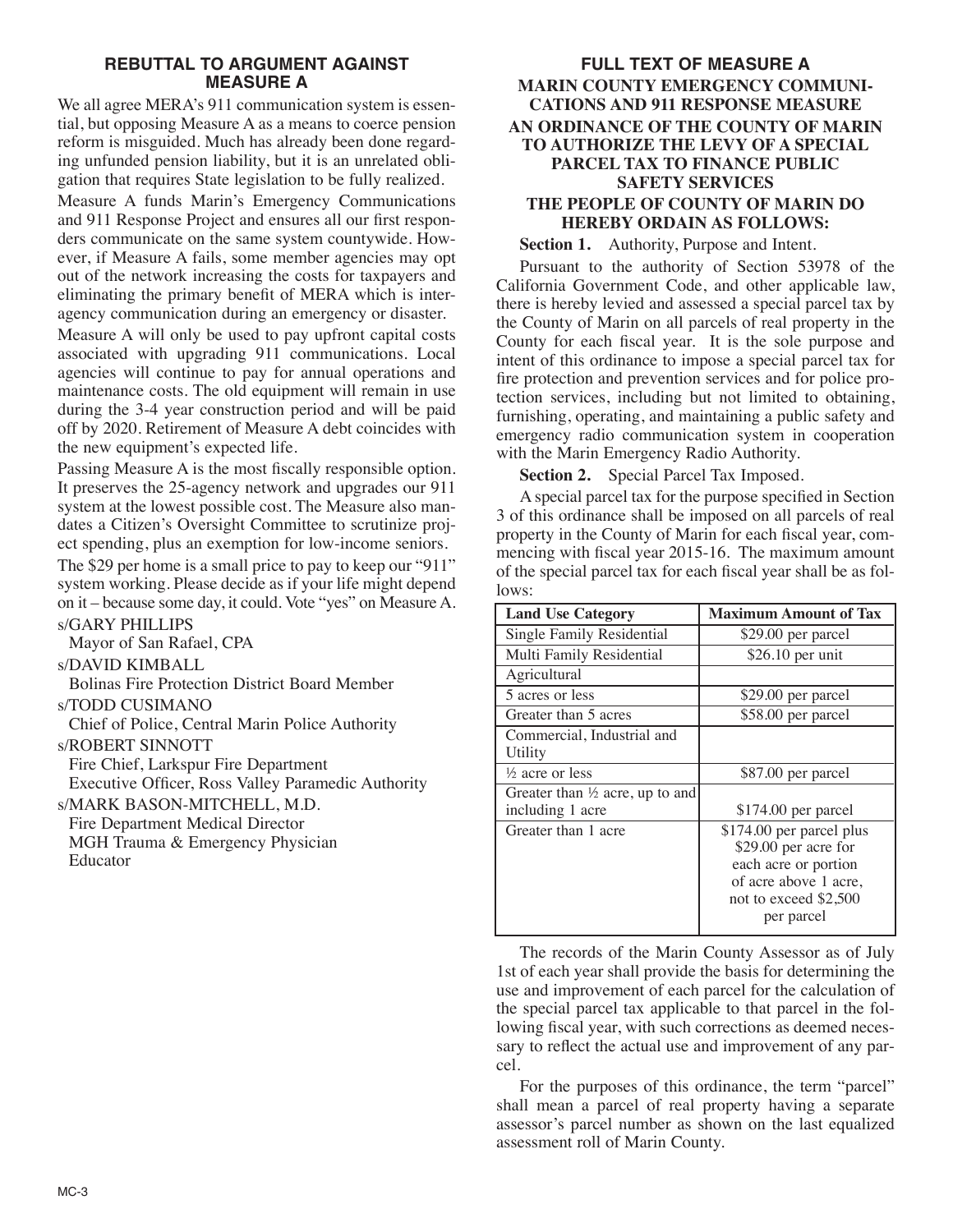# **REBUTTAL TO ARGUMENT AGAINST MEASURE A**

We all agree MERA's 911 communication system is essential, but opposing Measure A as a means to coerce pension reform is misguided. Much has already been done regarding unfunded pension liability, but it is an unrelated obligation that requires State legislation to be fully realized.

Measure A funds Marin's Emergency Communications and 911 Response Project and ensures all our first responders communicate on the same system countywide. However, if Measure A fails, some member agencies may opt out of the network increasing the costs for taxpayers and eliminating the primary benefit of MERA which is interagency communication during an emergency or disaster.

Measure A will only be used to pay upfront capital costs associated with upgrading 911 communications. Local agencies will continue to pay for annual operations and maintenance costs. The old equipment will remain in use during the 3-4 year construction period and will be paid off by 2020. Retirement of Measure A debt coincides with the new equipment's expected life.

Passing Measure A is the most fiscally responsible option. It preserves the 25-agency network and upgrades our 911 system at the lowest possible cost. The Measure also mandates a Citizen's Oversight Committee to scrutinize project spending, plus an exemption for low-income seniors. The \$29 per home is a small price to pay to keep our "911" system working. Please decide as if your life might depend on it – because some day, it could. Vote "yes" on Measure A. s/GARY PHILLIPS

Mayor of San Rafael, CPA

s/DAVID KIMBALL

Bolinas Fire Protection District Board Member

s/TODD CUSIMANO

Chief of Police, Central Marin Police Authority s/ROBERT SINNOTT

Fire Chief, Larkspur Fire Department

Executive Officer, Ross Valley Paramedic Authority

s/MARK BASON-MITCHELL, M.D. Fire Department Medical Director MGH Trauma & Emergency Physician Educator

# **FULL TEXT OF MEASURE A MARIN COUNTY EMERGENCY COMMUNI-CATIONS AND 911 RESPONSE MEASURE AN ORDINANCE OF THE COUNTY OF MARIN TO AUTHORIZE THE LEVY OF A SPECIAL PARCEL TAX TO FINANCE PUBLIC SAFETY SERVICES THE PEOPLE OF COUNTY OF MARIN DO HEREBY ORDAIN AS FOLLOWS:**

**Section 1.** Authority, Purpose and Intent.

Pursuant to the authority of Section 53978 of the California Government Code, and other applicable law, there is hereby levied and assessed a special parcel tax by the County of Marin on all parcels of real property in the County for each fiscal year. It is the sole purpose and intent of this ordinance to impose a special parcel tax for fire protection and prevention services and for police protection services, including but not limited to obtaining, furnishing, operating, and maintaining a public safety and emergency radio communication system in cooperation with the Marin Emergency Radio Authority.

**Section 2.** Special Parcel Tax Imposed.

A special parcel tax for the purpose specified in Section 3 of this ordinance shall be imposed on all parcels of real property in the County of Marin for each fiscal year, commencing with fiscal year 2015-16. The maximum amount of the special parcel tax for each fiscal year shall be as follows:

| <b>Land Use Category</b>                                       | <b>Maximum Amount of Tax</b>                                                                                                             |
|----------------------------------------------------------------|------------------------------------------------------------------------------------------------------------------------------------------|
| Single Family Residential                                      | \$29.00 per parcel                                                                                                                       |
| Multi Family Residential                                       | $$26.10$ per unit                                                                                                                        |
| Agricultural                                                   |                                                                                                                                          |
| 5 acres or less                                                | \$29.00 per parcel                                                                                                                       |
| Greater than 5 acres                                           | \$58.00 per parcel                                                                                                                       |
| Commercial, Industrial and<br>Utility                          |                                                                                                                                          |
| $\frac{1}{2}$ acre or less                                     | \$87.00 per parcel                                                                                                                       |
| Greater than $\frac{1}{2}$ acre, up to and<br>including 1 acre | $$174.00$ per parcel                                                                                                                     |
| Greater than 1 acre                                            | \$174.00 per parcel plus<br>\$29.00 per acre for<br>each acre or portion<br>of acre above 1 acre,<br>not to exceed \$2,500<br>per parcel |

The records of the Marin County Assessor as of July 1st of each year shall provide the basis for determining the use and improvement of each parcel for the calculation of the special parcel tax applicable to that parcel in the following fiscal year, with such corrections as deemed necessary to reflect the actual use and improvement of any parcel.

For the purposes of this ordinance, the term "parcel" shall mean a parcel of real property having a separate assessor's parcel number as shown on the last equalized assessment roll of Marin County.